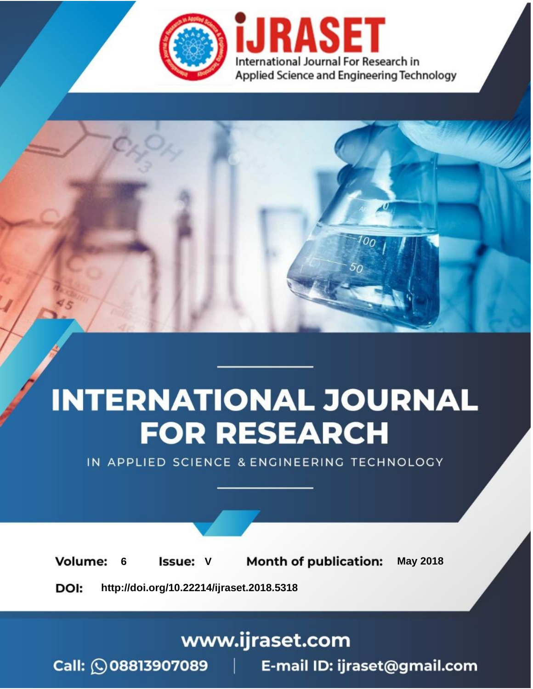

# **INTERNATIONAL JOURNAL FOR RESEARCH**

IN APPLIED SCIENCE & ENGINEERING TECHNOLOGY

**6 Issue: V Month of publication:** May 2018 **Volume:** 

**http://doi.org/10.22214/ijraset.2018.5318**DOI:

### www.ijraset.com

Call: 008813907089 | E-mail ID: ijraset@gmail.com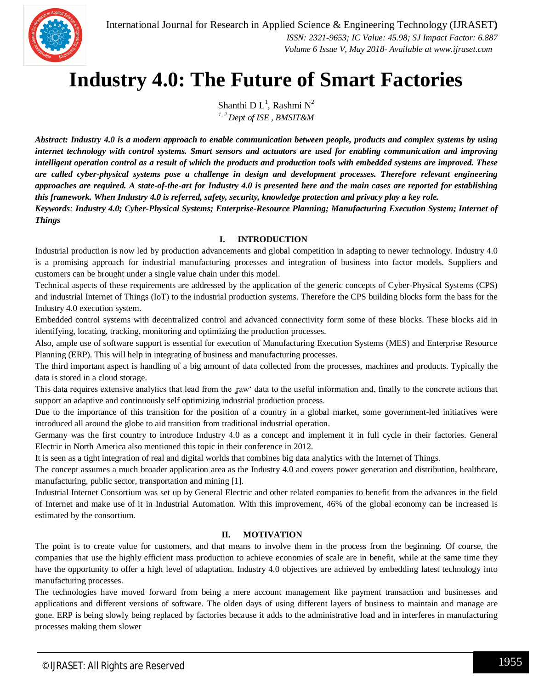*Things*

## **Industry 4.0: The Future of Smart Factories**

Shanthi D $L^1$ , Rashmi  $N^2$ *1, 2 Dept of ISE , BMSIT&M*

*Abstract: Industry 4.0 is a modern approach to enable communication between people, products and complex systems by using internet technology with control systems. Smart sensors and actuators are used for enabling communication and improving intelligent operation control as a result of which the products and production tools with embedded systems are improved. These are called cyber-physical systems pose a challenge in design and development processes. Therefore relevant engineering approaches are required. A state-of-the-art for Industry 4.0 is presented here and the main cases are reported for establishing this framework. When Industry 4.0 is referred, safety, security, knowledge protection and privacy play a key role. Keywords: Industry 4.0; Cyber-Physical Systems; Enterprise-Resource Planning; Manufacturing Execution System; Internet of* 

#### **I. INTRODUCTION**

Industrial production is now led by production advancements and global competition in adapting to newer technology. Industry 4.0 is a promising approach for industrial manufacturing processes and integration of business into factor models. Suppliers and customers can be brought under a single value chain under this model.

Technical aspects of these requirements are addressed by the application of the generic concepts of Cyber-Physical Systems (CPS) and industrial Internet of Things (IoT) to the industrial production systems. Therefore the CPS building blocks form the bass for the Industry 4.0 execution system.

Embedded control systems with decentralized control and advanced connectivity form some of these blocks. These blocks aid in identifying, locating, tracking, monitoring and optimizing the production processes.

Also, ample use of software support is essential for execution of Manufacturing Execution Systems (MES) and Enterprise Resource Planning (ERP). This will help in integrating of business and manufacturing processes.

The third important aspect is handling of a big amount of data collected from the processes, machines and products. Typically the data is stored in a cloud storage.

This data requires extensive analytics that lead from the raw' data to the useful information and, finally to the concrete actions that support an adaptive and continuously self optimizing industrial production process.

Due to the importance of this transition for the position of a country in a global market, some government-led initiatives were introduced all around the globe to aid transition from traditional industrial operation.

Germany was the first country to introduce Industry 4.0 as a concept and implement it in full cycle in their factories. General Electric in North America also mentioned this topic in their conference in 2012.

It is seen as a tight integration of real and digital worlds that combines big data analytics with the Internet of Things.

The concept assumes a much broader application area as the Industry 4.0 and covers power generation and distribution, healthcare, manufacturing, public sector, transportation and mining [1].

Industrial Internet Consortium was set up by General Electric and other related companies to benefit from the advances in the field of Internet and make use of it in Industrial Automation. With this improvement, 46% of the global economy can be increased is estimated by the consortium.

#### **II. MOTIVATION**

The point is to create value for customers, and that means to involve them in the process from the beginning. Of course, the companies that use the highly efficient mass production to achieve economies of scale are in benefit, while at the same time they have the opportunity to offer a high level of adaptation. Industry 4.0 objectives are achieved by embedding latest technology into manufacturing processes.

The technologies have moved forward from being a mere account management like payment transaction and businesses and applications and different versions of software. The olden days of using different layers of business to maintain and manage are gone. ERP is being slowly being replaced by factories because it adds to the administrative load and in interferes in manufacturing processes making them slower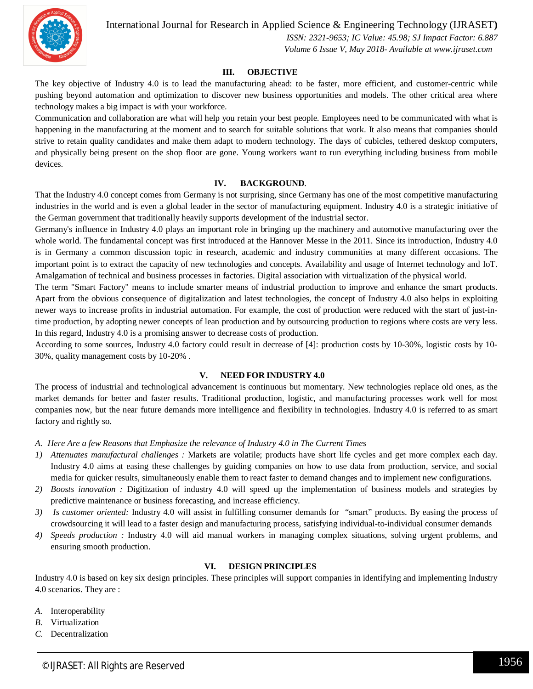International Journal for Research in Applied Science & Engineering Technology (IJRASET**)**

 *ISSN: 2321-9653; IC Value: 45.98; SJ Impact Factor: 6.887 Volume 6 Issue V, May 2018- Available at www.ijraset.com*

#### **III. OBJECTIVE**

The key objective of Industry 4.0 is to lead the manufacturing ahead: to be faster, more efficient, and customer-centric while pushing beyond automation and optimization to discover new business opportunities and models. The other critical area where technology makes a big impact is with your workforce.

Communication and collaboration are what will help you retain your best people. Employees need to be communicated with what is happening in the manufacturing at the moment and to search for suitable solutions that work. It also means that companies should strive to retain quality candidates and make them adapt to modern technology. The days of cubicles, tethered desktop computers, and physically being present on the shop floor are gone. Young workers want to run everything including business from mobile devices.

#### **IV. BACKGROUND**.

That the Industry 4.0 concept comes from Germany is not surprising, since Germany has one of the most competitive manufacturing industries in the world and is even a global leader in the sector of manufacturing equipment. Industry 4.0 is a strategic initiative of the German government that traditionally heavily supports development of the industrial sector.

Germany's influence in Industry 4.0 plays an important role in bringing up the machinery and automotive manufacturing over the whole world. The fundamental concept was first introduced at the Hannover Messe in the 2011. Since its introduction, Industry 4.0 is in Germany a common discussion topic in research, academic and industry communities at many different occasions. The important point is to extract the capacity of new technologies and concepts. Availability and usage of Internet technology and IoT. Amalgamation of technical and business processes in factories. Digital association with virtualization of the physical world.

The term "Smart Factory" means to include smarter means of industrial production to improve and enhance the smart products. Apart from the obvious consequence of digitalization and latest technologies, the concept of Industry 4.0 also helps in exploiting newer ways to increase profits in industrial automation. For example, the cost of production were reduced with the start of just-intime production, by adopting newer concepts of lean production and by outsourcing production to regions where costs are very less. In this regard, Industry 4.0 is a promising answer to decrease costs of production.

According to some sources, Industry 4.0 factory could result in decrease of [4]: production costs by 10-30%, logistic costs by 10- 30%, quality management costs by 10-20% .

#### **V. NEED FOR INDUSTRY 4.0**

The process of industrial and technological advancement is continuous but momentary. New technologies replace old ones, as the market demands for better and faster results. Traditional production, logistic, and manufacturing processes work well for most companies now, but the near future demands more intelligence and flexibility in technologies. Industry 4.0 is referred to as smart factory and rightly so.

- *A. Here Are a few Reasons that Emphasize the relevance of Industry 4.0 in The Current Times*
- *1) Attenuates manufactural challenges :* Markets are volatile; products have short life cycles and get more complex each day. Industry 4.0 aims at easing these challenges by guiding companies on how to use data from production, service, and social media for quicker results, simultaneously enable them to react faster to demand changes and to implement new configurations.
- *2) Boosts innovation :* Digitization of industry 4.0 will speed up the implementation of business models and strategies by predictive maintenance or business forecasting, and increase efficiency.
- *3) Is customer oriented:* Industry 4.0 will assist in fulfilling consumer demands for "smart" products. By easing the process of crowdsourcing it will lead to a faster design and manufacturing process, satisfying individual-to-individual consumer demands
- *4) Speeds production :* Industry 4.0 will aid manual workers in managing complex situations, solving urgent problems, and ensuring smooth production.

#### **VI. DESIGN PRINCIPLES**

Industry 4.0 is based on key six design principles. These principles will support companies in identifying and implementing Industry 4.0 scenarios. They are :

- *A.* Interoperability
- *B.* Virtualization
- *C.* Decentralization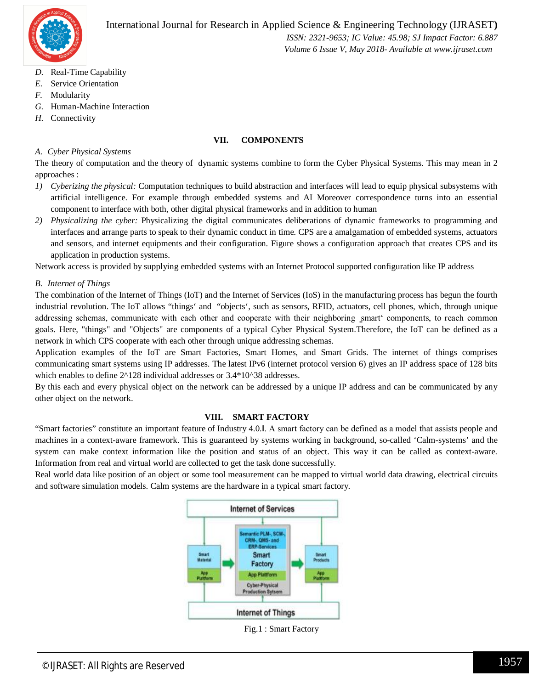

 *Volume 6 Issue V, May 2018- Available at www.ijraset.com*

- *D.* Real-Time Capability
- *E.* Service Orientation
- *F.* Modularity
- *G.* Human-Machine Interaction
- *H.* Connectivity

#### **VII. COMPONENTS**

#### *A. Cyber Physical Systems*

The theory of computation and the theory of dynamic systems combine to form the Cyber Physical Systems. This may mean in 2 approaches :

- *1) Cyberizing the physical:* Computation techniques to build abstraction and interfaces will lead to equip physical subsystems with artificial intelligence. For example through embedded systems and AI Moreover correspondence turns into an essential component to interface with both, other digital physical frameworks and in addition to human
- *2) Physicalizing the cyber:* Physicalizing the digital communicates deliberations of dynamic frameworks to programming and interfaces and arrange parts to speak to their dynamic conduct in time. CPS are a amalgamation of embedded systems, actuators and sensors, and internet equipments and their configuration. Figure shows a configuration approach that creates CPS and its application in production systems.

Network access is provided by supplying embedded systems with an Internet Protocol supported configuration like IP address

#### *B. Internet of Things*

The combination of the Internet of Things (IoT) and the Internet of Services (IoS) in the manufacturing process has begun the fourth industrial revolution. The IoT allows "things' and "objects', such as sensors, RFID, actuators, cell phones, which, through unique addressing schemas, communicate with each other and cooperate with their neighboring smart' components, to reach common goals. Here, "things" and "Objects" are components of a typical Cyber Physical System.Therefore, the IoT can be defined as a network in which CPS cooperate with each other through unique addressing schemas.

Application examples of the IoT are Smart Factories, Smart Homes, and Smart Grids. The internet of things comprises communicating smart systems using IP addresses. The latest IPv6 (internet protocol version 6) gives an IP address space of 128 bits which enables to define  $2^{\wedge}128$  individual addresses or 3.4\*10^38 addresses.

By this each and every physical object on the network can be addressed by a unique IP address and can be communicated by any other object on the network.

#### **VIII. SMART FACTORY**

"Smart factories" constitute an important feature of Industry 4.0.‖. A smart factory can be defined as a model that assists people and machines in a context-aware framework. This is guaranteed by systems working in background, so-called 'Calm-systems' and the system can make context information like the position and status of an object. This way it can be called as context-aware. Information from real and virtual world are collected to get the task done successfully.

Real world data like position of an object or some tool measurement can be mapped to virtual world data drawing, electrical circuits and software simulation models. Calm systems are the hardware in a typical smart factory.

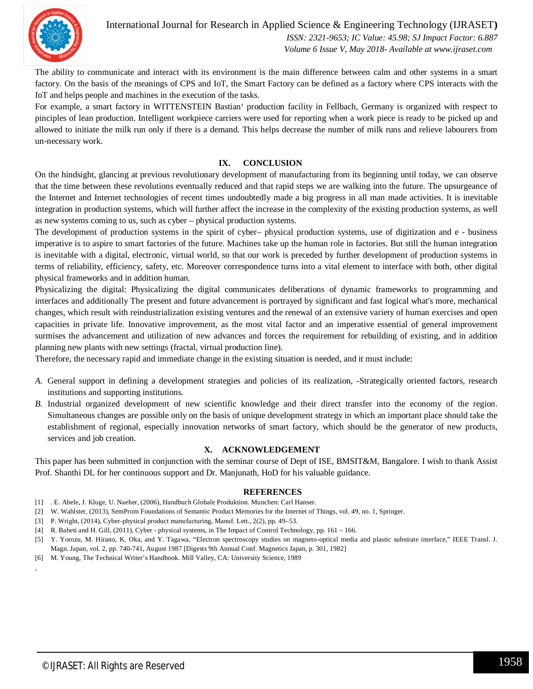

International Journal for Research in Applied Science & Engineering Technology (IJRASET**)**  *ISSN: 2321-9653; IC Value: 45.98; SJ Impact Factor: 6.887*

 *Volume 6 Issue V, May 2018- Available at www.ijraset.com*

The ability to communicate and interact with its environment is the main difference between calm and other systems in a smart factory. On the basis of the meanings of CPS and IoT, the Smart Factory can be defined as a factory where CPS interacts with the IoT and helps people and machines in the execution of the tasks.

For example, a smart factory in WITTENSTEIN Bastian' production facility in Fellbach, Germany is organized with respect to pinciples of lean production. Intelligent workpiece carriers were used for reporting when a work piece is ready to be picked up and allowed to initiate the milk run only if there is a demand. This helps decrease the number of milk runs and relieve labourers from un-necessary work.

#### **IX. CONCLUSION**

On the hindsight, glancing at previous revolutionary development of manufacturing from its beginning until today, we can observe that the time between these revolutions eventually reduced and that rapid steps we are walking into the future. The upsurgeance of the Internet and Internet technologies of recent times undoubtedly made a big progress in all man made activities. It is inevitable integration in production systems, which will further affect the increase in the complexity of the existing production systems, as well as new systems coming to us, such as cyber – physical production systems.

The development of production systems in the spirit of cyber– physical production systems, use of digitization and e - business imperative is to aspire to smart factories of the future. Machines take up the human role in factories. But still the human integration is inevitable with a digital, electronic, virtual world, so that our work is preceded by further development of production systems in terms of reliability, efficiency, safety, etc. Moreover correspondence turns into a vital element to interface with both, other digital physical frameworks and in addition human.

Physicalizing the digital: Physicalizing the digital communicates deliberations of dynamic frameworks to programming and interfaces and additionally The present and future advancement is portrayed by significant and fast logical what's more, mechanical changes, which result with reindustrialization existing ventures and the renewal of an extensive variety of human exercises and open capacities in private life. Innovative improvement, as the most vital factor and an imperative essential of general improvement surmises the advancement and utilization of new advances and forces the requirement for rebuilding of existing, and in addition planning new plants with new settings (fractal, virtual production line).

Therefore, the necessary rapid and immediate change in the existing situation is needed, and it must include:

- *A.* General support in defining a development strategies and policies of its realization, -Strategically oriented factors, research institutions and supporting institutions.
- *B.* Industrial organized development of new scientific knowledge and their direct transfer into the economy of the region. Simultaneous changes are possible only on the basis of unique development strategy in which an important place should take the establishment of regional, especially innovation networks of smart factory, which should be the generator of new products, services and job creation.

#### **X. ACKNOWLEDGEMENT**

This paper has been submitted in conjunction with the seminar course of Dept of ISE, BMSIT&M, Bangalore. I wish to thank Assist Prof. Shanthi DL for her continuous support and Dr. Manjunath, HoD for his valuable guidance.

#### **REFERENCES**

- [1] . E. Abele, J. Kluge, U. Naeher, (2006), Handbuch Globale Produktion. Munchen: Carl Hanser.
- [2] W. Wahlster, (2013), SemProm Foundations of Semantic Product Memories for the Internet of Things, vol. 49, no. 1, Springer.
- [3] P. Wright, (2014), Cyber-physical product manufacturing, Manuf. Lett., 2(2), pp. 49–53.
- [4] R. Baheti and H. Gill, (2011), Cyber physical systems, in The Impact of Control Technology, pp. 161 166.
- [5] Y. Yorozu, M. Hirano, K. Oka, and Y. Tagawa, "Electron spectroscopy studies on magneto-optical media and plastic substrate interface," IEEE Transl. J. Magn. Japan, vol. 2, pp. 740-741, August 1987 [Digests 9th Annual Conf. Magnetics Japan, p. 301, 1982]
- [6] M. Young, The Technical Writer's Handbook. Mill Valley, CA: University Science, 1989

.